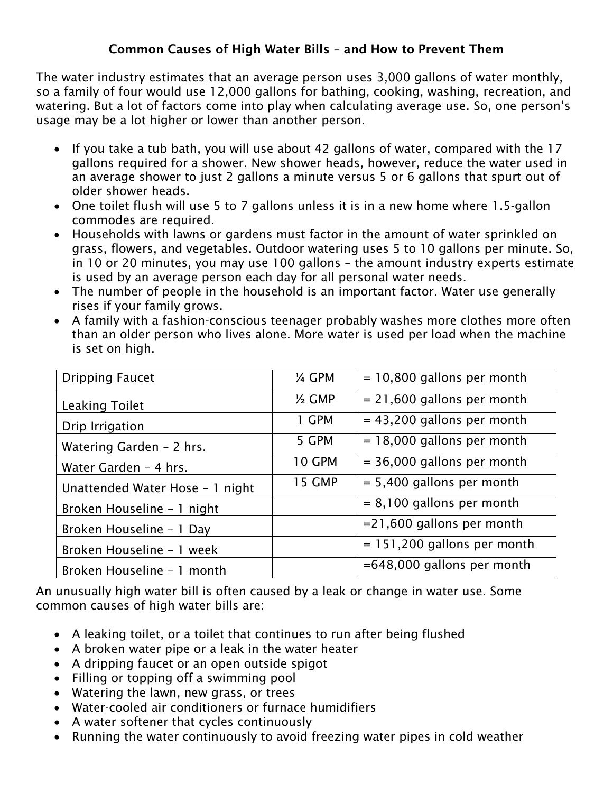## Common Causes of High Water Bills – and How to Prevent Them

The water industry estimates that an average person uses 3,000 gallons of water monthly, so a family of four would use 12,000 gallons for bathing, cooking, washing, recreation, and watering. But a lot of factors come into play when calculating average use. So, one person's usage may be a lot higher or lower than another person.

- If you take a tub bath, you will use about 42 gallons of water, compared with the 17 gallons required for a shower. New shower heads, however, reduce the water used in an average shower to just 2 gallons a minute versus 5 or 6 gallons that spurt out of older shower heads.
- One toilet flush will use 5 to 7 gallons unless it is in a new home where 1.5-gallon commodes are required.
- Households with lawns or gardens must factor in the amount of water sprinkled on grass, flowers, and vegetables. Outdoor watering uses 5 to 10 gallons per minute. So, in 10 or 20 minutes, you may use 100 gallons – the amount industry experts estimate is used by an average person each day for all personal water needs.
- The number of people in the household is an important factor. Water use generally rises if your family grows.
- A family with a fashion-conscious teenager probably washes more clothes more often than an older person who lives alone. More water is used per load when the machine is set on high.

| <b>Dripping Faucet</b>          | 14 GPM            | $= 10,800$ gallons per month  |
|---------------------------------|-------------------|-------------------------------|
| <b>Leaking Toilet</b>           | $\frac{1}{2}$ GMP | $= 21,600$ gallons per month  |
| Drip Irrigation                 | 1 GPM             | $= 43,200$ gallons per month  |
| Watering Garden - 2 hrs.        | 5 GPM             | $= 18,000$ gallons per month  |
| Water Garden - 4 hrs.           | <b>10 GPM</b>     | $=$ 36,000 gallons per month  |
| Unattended Water Hose - 1 night | <b>15 GMP</b>     | $= 5,400$ gallons per month   |
| Broken Houseline - 1 night      |                   | $= 8,100$ gallons per month   |
| Broken Houseline - 1 Day        |                   | =21,600 gallons per month     |
| Broken Houseline - 1 week       |                   | $= 151,200$ gallons per month |
| Broken Houseline - 1 month      |                   | $=648,000$ gallons per month  |

An unusually high water bill is often caused by a leak or change in water use. Some common causes of high water bills are:

- A leaking toilet, or a toilet that continues to run after being flushed
- A broken water pipe or a leak in the water heater
- A dripping faucet or an open outside spigot
- Filling or topping off a swimming pool
- Watering the lawn, new grass, or trees
- Water-cooled air conditioners or furnace humidifiers
- A water softener that cycles continuously
- Running the water continuously to avoid freezing water pipes in cold weather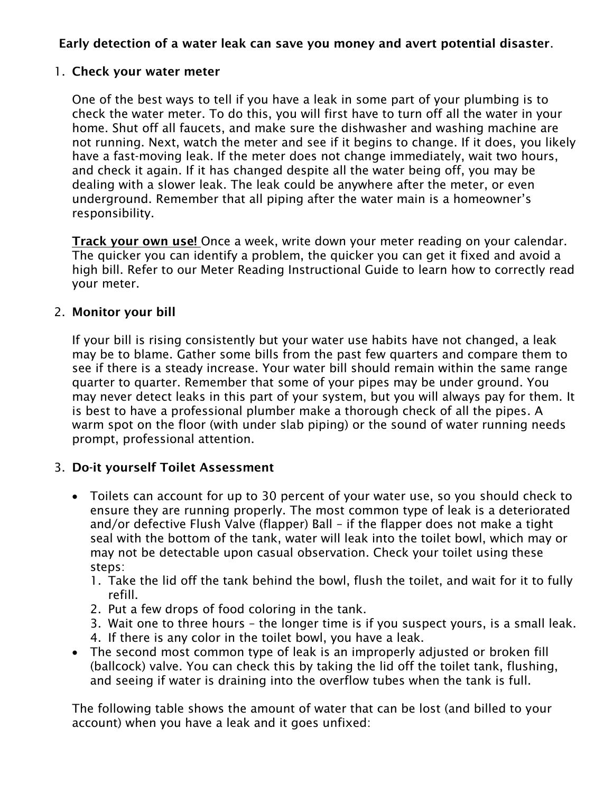# Early detection of a water leak can save you money and avert potential disaster.

#### 1. Check your water meter

One of the best ways to tell if you have a leak in some part of your plumbing is to check the water meter. To do this, you will first have to turn off all the water in your home. Shut off all faucets, and make sure the dishwasher and washing machine are not running. Next, watch the meter and see if it begins to change. If it does, you likely have a fast-moving leak. If the meter does not change immediately, wait two hours, and check it again. If it has changed despite all the water being off, you may be dealing with a slower leak. The leak could be anywhere after the meter, or even underground. Remember that all piping after the water main is a homeowner's responsibility.

**Track your own use!** Once a week, write down your meter reading on your calendar. The quicker you can identify a problem, the quicker you can get it fixed and avoid a high bill. Refer to our Meter Reading Instructional Guide to learn how to correctly read your meter.

#### 2. Monitor your bill

If your bill is rising consistently but your water use habits have not changed, a leak may be to blame. Gather some bills from the past few quarters and compare them to see if there is a steady increase. Your water bill should remain within the same range quarter to quarter. Remember that some of your pipes may be under ground. You may never detect leaks in this part of your system, but you will always pay for them. It is best to have a professional plumber make a thorough check of all the pipes. A warm spot on the floor (with under slab piping) or the sound of water running needs prompt, professional attention.

## 3. Do-it yourself Toilet Assessment

- Toilets can account for up to 30 percent of your water use, so you should check to ensure they are running properly. The most common type of leak is a deteriorated and/or defective Flush Valve (flapper) Ball – if the flapper does not make a tight seal with the bottom of the tank, water will leak into the toilet bowl, which may or may not be detectable upon casual observation. Check your toilet using these steps:
	- 1. Take the lid off the tank behind the bowl, flush the toilet, and wait for it to fully refill.
	- 2. Put a few drops of food coloring in the tank.
	- 3. Wait one to three hours the longer time is if you suspect yours, is a small leak.
	- 4. If there is any color in the toilet bowl, you have a leak.
- The second most common type of leak is an improperly adjusted or broken fill (ballcock) valve. You can check this by taking the lid off the toilet tank, flushing, and seeing if water is draining into the overflow tubes when the tank is full.

The following table shows the amount of water that can be lost (and billed to your account) when you have a leak and it goes unfixed: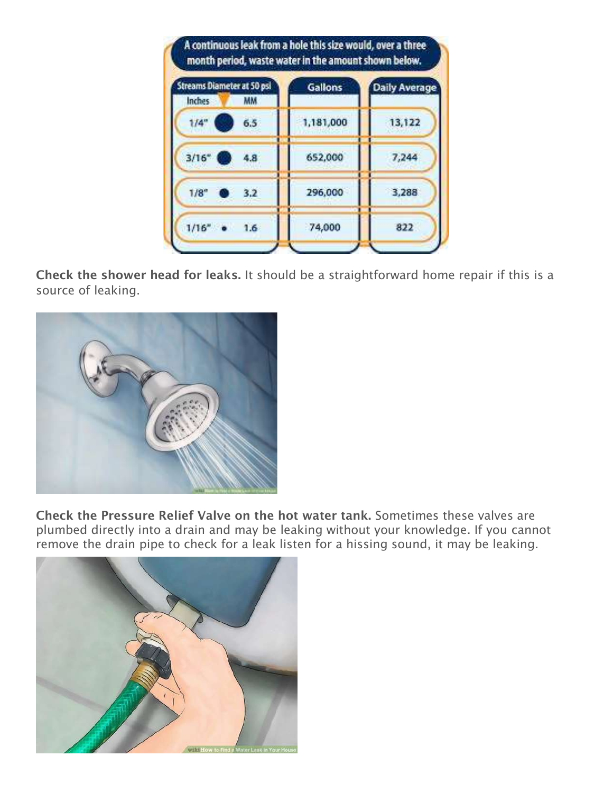| Streams Diameter at 50 psi                 | <b>Gallons</b> | <b>Daily Average</b> |
|--------------------------------------------|----------------|----------------------|
| Inches<br>ΜМ<br>1/4"<br>6.5                | 1,181,000      | 13,122               |
| 3/16"<br>4.8                               | 652,000        | 7,244                |
| $1/8$ <sup><math>\circ</math></sup><br>3.2 | 296,000        | 3.288                |
| 1/16''<br>1.6                              | 74,000         | 822                  |

Check the shower head for leaks. It should be a straightforward home repair if this is a source of leaking.



Check the Pressure Relief Valve on the hot water tank. Sometimes these valves are plumbed directly into a drain and may be leaking without your knowledge. If you cannot remove the drain pipe to check for a leak listen for a hissing sound, it may be leaking.